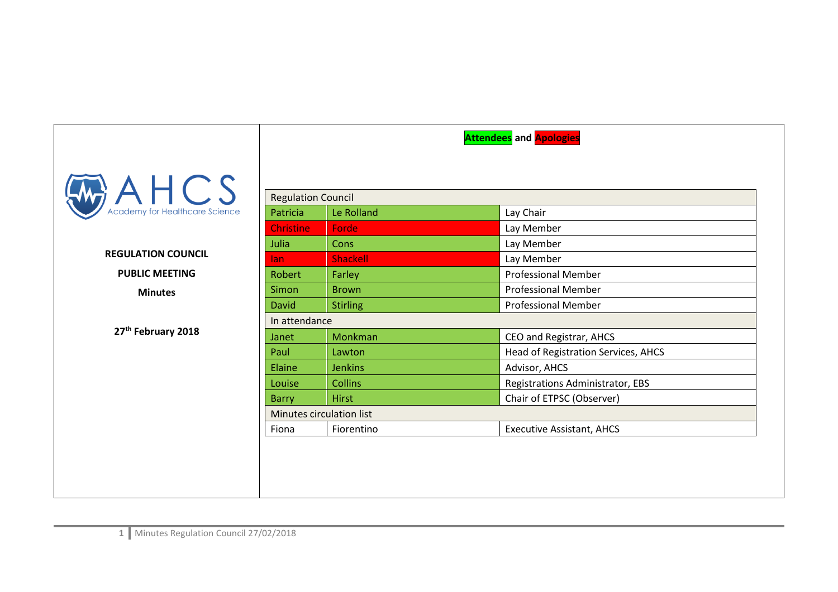|                                             |                           |                          | <b>Attendees</b> and <b>Apologies</b> |  |  |
|---------------------------------------------|---------------------------|--------------------------|---------------------------------------|--|--|
| $A H C S$<br>Academy for Healthcare Science |                           |                          |                                       |  |  |
|                                             | <b>Regulation Council</b> |                          |                                       |  |  |
|                                             | Patricia                  | Le Rolland               | Lay Chair                             |  |  |
|                                             | <b>Christine</b>          | Forde                    | Lay Member                            |  |  |
| <b>REGULATION COUNCIL</b>                   | Julia                     | Cons                     | Lay Member                            |  |  |
|                                             | lan                       | Shackell                 | Lay Member                            |  |  |
| <b>PUBLIC MEETING</b>                       | Robert                    | Farley                   | <b>Professional Member</b>            |  |  |
| <b>Minutes</b>                              | Simon                     | <b>Brown</b>             | <b>Professional Member</b>            |  |  |
|                                             | <b>David</b>              | <b>Stirling</b>          | <b>Professional Member</b>            |  |  |
|                                             |                           | In attendance            |                                       |  |  |
| 27th February 2018                          | Janet                     | Monkman                  | CEO and Registrar, AHCS               |  |  |
|                                             | Paul                      | Lawton                   | Head of Registration Services, AHCS   |  |  |
|                                             | Elaine                    | <b>Jenkins</b>           | Advisor, AHCS                         |  |  |
|                                             | Louise                    | <b>Collins</b>           | Registrations Administrator, EBS      |  |  |
|                                             | <b>Barry</b>              | <b>Hirst</b>             | Chair of ETPSC (Observer)             |  |  |
|                                             |                           | Minutes circulation list |                                       |  |  |
|                                             | Fiona                     | Fiorentino               | <b>Executive Assistant, AHCS</b>      |  |  |
|                                             |                           |                          |                                       |  |  |
|                                             |                           |                          |                                       |  |  |
|                                             |                           |                          |                                       |  |  |
|                                             |                           |                          |                                       |  |  |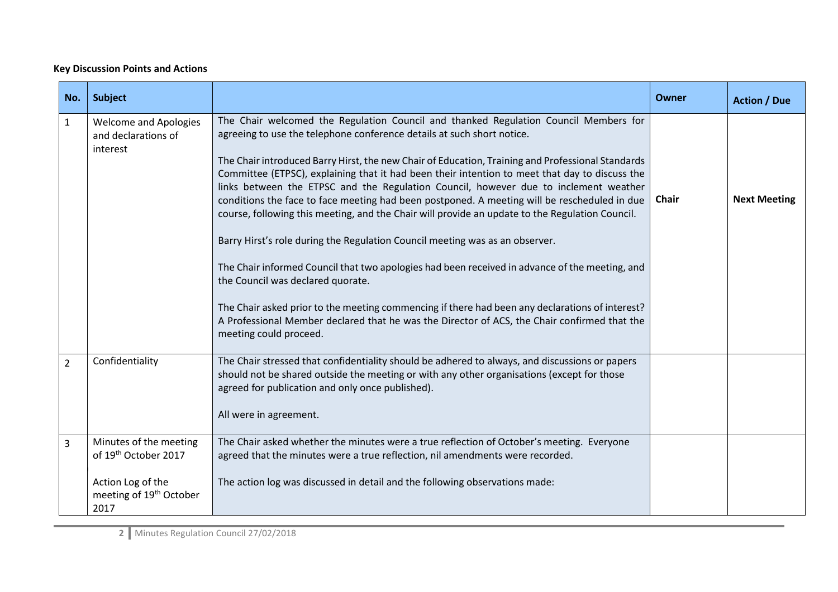## **Key Discussion Points and Actions**

| No.            | Subject                                                                                                                        |                                                                                                                                                                                                                                                                                                                                                                                                                                                                                                                                                                                                                                                                                                                                                                                                                                                                                                                                                                                                                                                                                                                      | <b>Owner</b> | <b>Action / Due</b> |
|----------------|--------------------------------------------------------------------------------------------------------------------------------|----------------------------------------------------------------------------------------------------------------------------------------------------------------------------------------------------------------------------------------------------------------------------------------------------------------------------------------------------------------------------------------------------------------------------------------------------------------------------------------------------------------------------------------------------------------------------------------------------------------------------------------------------------------------------------------------------------------------------------------------------------------------------------------------------------------------------------------------------------------------------------------------------------------------------------------------------------------------------------------------------------------------------------------------------------------------------------------------------------------------|--------------|---------------------|
| $\mathbf{1}$   | <b>Welcome and Apologies</b><br>and declarations of<br>interest                                                                | The Chair welcomed the Regulation Council and thanked Regulation Council Members for<br>agreeing to use the telephone conference details at such short notice.<br>The Chair introduced Barry Hirst, the new Chair of Education, Training and Professional Standards<br>Committee (ETPSC), explaining that it had been their intention to meet that day to discuss the<br>links between the ETPSC and the Regulation Council, however due to inclement weather<br>conditions the face to face meeting had been postponed. A meeting will be rescheduled in due<br>course, following this meeting, and the Chair will provide an update to the Regulation Council.<br>Barry Hirst's role during the Regulation Council meeting was as an observer.<br>The Chair informed Council that two apologies had been received in advance of the meeting, and<br>the Council was declared quorate.<br>The Chair asked prior to the meeting commencing if there had been any declarations of interest?<br>A Professional Member declared that he was the Director of ACS, the Chair confirmed that the<br>meeting could proceed. | <b>Chair</b> | <b>Next Meeting</b> |
| $\overline{2}$ | Confidentiality                                                                                                                | The Chair stressed that confidentiality should be adhered to always, and discussions or papers<br>should not be shared outside the meeting or with any other organisations (except for those<br>agreed for publication and only once published).<br>All were in agreement.                                                                                                                                                                                                                                                                                                                                                                                                                                                                                                                                                                                                                                                                                                                                                                                                                                           |              |                     |
| $\overline{3}$ | Minutes of the meeting<br>of 19 <sup>th</sup> October 2017<br>Action Log of the<br>meeting of 19 <sup>th</sup> October<br>2017 | The Chair asked whether the minutes were a true reflection of October's meeting. Everyone<br>agreed that the minutes were a true reflection, nil amendments were recorded.<br>The action log was discussed in detail and the following observations made:                                                                                                                                                                                                                                                                                                                                                                                                                                                                                                                                                                                                                                                                                                                                                                                                                                                            |              |                     |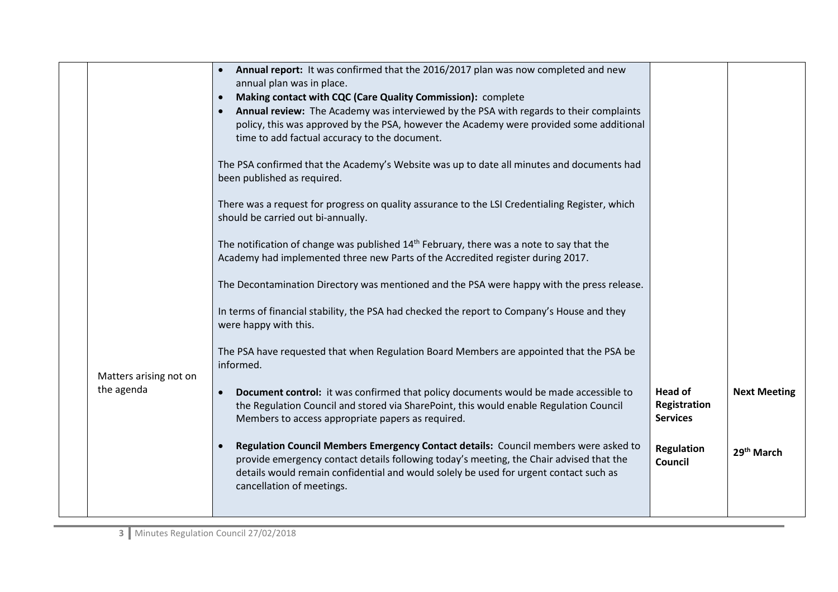|  |                                      | Annual report: It was confirmed that the 2016/2017 plan was now completed and new<br>annual plan was in place.<br>Making contact with CQC (Care Quality Commission): complete<br>Annual review: The Academy was interviewed by the PSA with regards to their complaints<br>$\bullet$<br>policy, this was approved by the PSA, however the Academy were provided some additional<br>time to add factual accuracy to the document.<br>The PSA confirmed that the Academy's Website was up to date all minutes and documents had<br>been published as required. |                                                   |                        |
|--|--------------------------------------|--------------------------------------------------------------------------------------------------------------------------------------------------------------------------------------------------------------------------------------------------------------------------------------------------------------------------------------------------------------------------------------------------------------------------------------------------------------------------------------------------------------------------------------------------------------|---------------------------------------------------|------------------------|
|  |                                      | There was a request for progress on quality assurance to the LSI Credentialing Register, which<br>should be carried out bi-annually.                                                                                                                                                                                                                                                                                                                                                                                                                         |                                                   |                        |
|  |                                      | The notification of change was published $14th$ February, there was a note to say that the<br>Academy had implemented three new Parts of the Accredited register during 2017.                                                                                                                                                                                                                                                                                                                                                                                |                                                   |                        |
|  |                                      | The Decontamination Directory was mentioned and the PSA were happy with the press release.                                                                                                                                                                                                                                                                                                                                                                                                                                                                   |                                                   |                        |
|  |                                      | In terms of financial stability, the PSA had checked the report to Company's House and they<br>were happy with this.                                                                                                                                                                                                                                                                                                                                                                                                                                         |                                                   |                        |
|  | Matters arising not on<br>the agenda | The PSA have requested that when Regulation Board Members are appointed that the PSA be<br>informed.                                                                                                                                                                                                                                                                                                                                                                                                                                                         |                                                   |                        |
|  |                                      | Document control: it was confirmed that policy documents would be made accessible to<br>$\bullet$<br>the Regulation Council and stored via SharePoint, this would enable Regulation Council<br>Members to access appropriate papers as required.                                                                                                                                                                                                                                                                                                             | <b>Head of</b><br>Registration<br><b>Services</b> | <b>Next Meeting</b>    |
|  |                                      | Regulation Council Members Emergency Contact details: Council members were asked to<br>$\bullet$<br>provide emergency contact details following today's meeting, the Chair advised that the<br>details would remain confidential and would solely be used for urgent contact such as<br>cancellation of meetings.                                                                                                                                                                                                                                            | <b>Regulation</b><br>Council                      | 29 <sup>th</sup> March |
|  |                                      |                                                                                                                                                                                                                                                                                                                                                                                                                                                                                                                                                              |                                                   |                        |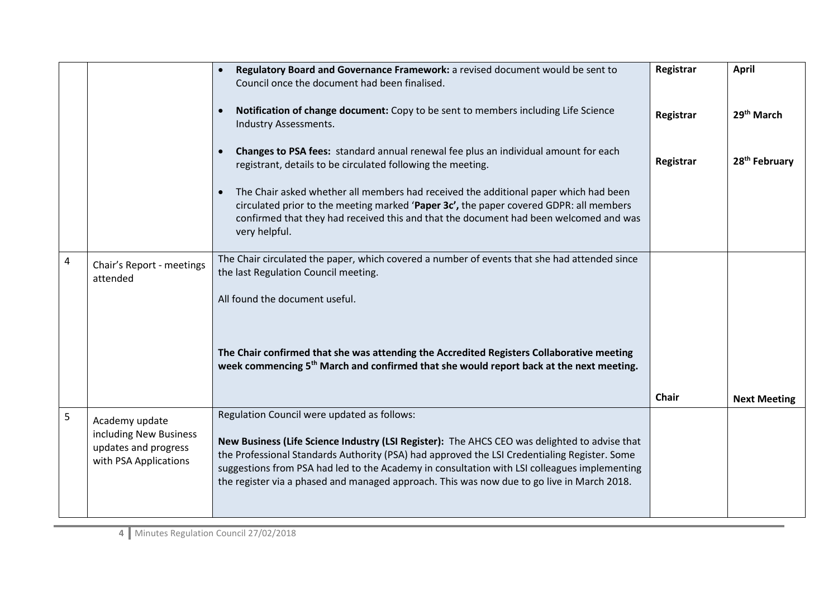|                |                                                                                           | Regulatory Board and Governance Framework: a revised document would be sent to<br>Council once the document had been finalised.                                                                                                                                                                                                                                                                                                            | Registrar    | <b>April</b>              |
|----------------|-------------------------------------------------------------------------------------------|--------------------------------------------------------------------------------------------------------------------------------------------------------------------------------------------------------------------------------------------------------------------------------------------------------------------------------------------------------------------------------------------------------------------------------------------|--------------|---------------------------|
|                |                                                                                           | Notification of change document: Copy to be sent to members including Life Science<br>Industry Assessments.                                                                                                                                                                                                                                                                                                                                | Registrar    | 29 <sup>th</sup> March    |
|                |                                                                                           | Changes to PSA fees: standard annual renewal fee plus an individual amount for each<br>registrant, details to be circulated following the meeting.                                                                                                                                                                                                                                                                                         | Registrar    | 28 <sup>th</sup> February |
|                |                                                                                           | The Chair asked whether all members had received the additional paper which had been<br>circulated prior to the meeting marked 'Paper 3c', the paper covered GDPR: all members<br>confirmed that they had received this and that the document had been welcomed and was<br>very helpful.                                                                                                                                                   |              |                           |
| $\overline{4}$ | Chair's Report - meetings<br>attended                                                     | The Chair circulated the paper, which covered a number of events that she had attended since<br>the last Regulation Council meeting.                                                                                                                                                                                                                                                                                                       |              |                           |
|                |                                                                                           | All found the document useful.                                                                                                                                                                                                                                                                                                                                                                                                             |              |                           |
|                |                                                                                           | The Chair confirmed that she was attending the Accredited Registers Collaborative meeting<br>week commencing 5 <sup>th</sup> March and confirmed that she would report back at the next meeting.                                                                                                                                                                                                                                           |              |                           |
|                |                                                                                           |                                                                                                                                                                                                                                                                                                                                                                                                                                            | <b>Chair</b> | <b>Next Meeting</b>       |
| 5              | Academy update<br>including New Business<br>updates and progress<br>with PSA Applications | Regulation Council were updated as follows:<br>New Business (Life Science Industry (LSI Register): The AHCS CEO was delighted to advise that<br>the Professional Standards Authority (PSA) had approved the LSI Credentialing Register. Some<br>suggestions from PSA had led to the Academy in consultation with LSI colleagues implementing<br>the register via a phased and managed approach. This was now due to go live in March 2018. |              |                           |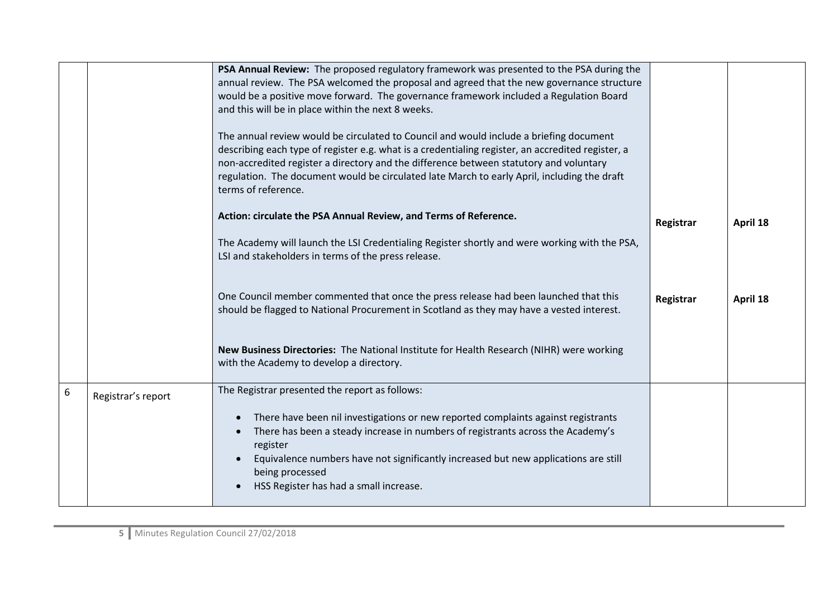|   |                    | PSA Annual Review: The proposed regulatory framework was presented to the PSA during the<br>annual review. The PSA welcomed the proposal and agreed that the new governance structure<br>would be a positive move forward. The governance framework included a Regulation Board<br>and this will be in place within the next 8 weeks.<br>The annual review would be circulated to Council and would include a briefing document |           |          |
|---|--------------------|---------------------------------------------------------------------------------------------------------------------------------------------------------------------------------------------------------------------------------------------------------------------------------------------------------------------------------------------------------------------------------------------------------------------------------|-----------|----------|
|   |                    | describing each type of register e.g. what is a credentialing register, an accredited register, a<br>non-accredited register a directory and the difference between statutory and voluntary<br>regulation. The document would be circulated late March to early April, including the draft<br>terms of reference.                                                                                                               |           |          |
|   |                    | Action: circulate the PSA Annual Review, and Terms of Reference.                                                                                                                                                                                                                                                                                                                                                                | Registrar | April 18 |
|   |                    | The Academy will launch the LSI Credentialing Register shortly and were working with the PSA,<br>LSI and stakeholders in terms of the press release.                                                                                                                                                                                                                                                                            |           |          |
|   |                    | One Council member commented that once the press release had been launched that this<br>should be flagged to National Procurement in Scotland as they may have a vested interest.                                                                                                                                                                                                                                               | Registrar | April 18 |
|   |                    | New Business Directories: The National Institute for Health Research (NIHR) were working<br>with the Academy to develop a directory.                                                                                                                                                                                                                                                                                            |           |          |
| 6 | Registrar's report | The Registrar presented the report as follows:                                                                                                                                                                                                                                                                                                                                                                                  |           |          |
|   |                    | There have been nil investigations or new reported complaints against registrants<br>There has been a steady increase in numbers of registrants across the Academy's<br>register<br>Equivalence numbers have not significantly increased but new applications are still<br>being processed<br>HSS Register has had a small increase.                                                                                            |           |          |